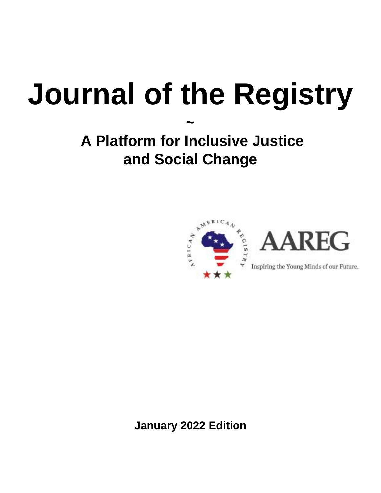# **Journal of the Registry**

**~**

# **A Platform for Inclusive Justice and Social Change**



**January 2022 Edition**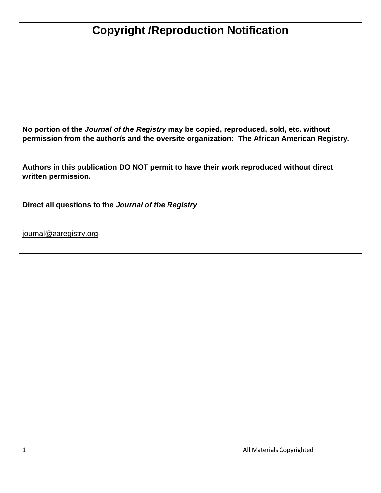# **Copyright /Reproduction Notification**

**No portion of the** *Journal of the Registry* **may be copied, reproduced, sold, etc. without permission from the author/s and the oversite organization: The African American Registry.**

**Authors in this publication DO NOT permit to have their work reproduced without direct written permission.**

**Direct all questions to the** *Journal of the Registry* 

[journal@aaregistry.org](mailto:journal@aaregistry.org)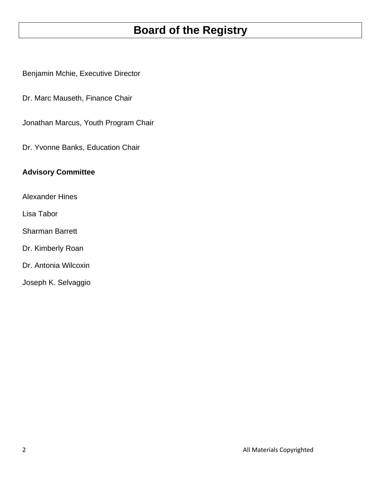## **Board of the Registry**

Benjamin Mchie, Executive Director

Dr. Marc Mauseth, Finance Chair

Jonathan Marcus, Youth Program Chair

Dr. Yvonne Banks, Education Chair

#### **Advisory Committee**

Alexander Hines

Lisa Tabor

Sharman Barrett

Dr. Kimberly Roan

Dr. Antonia Wilcoxin

Joseph K. Selvaggio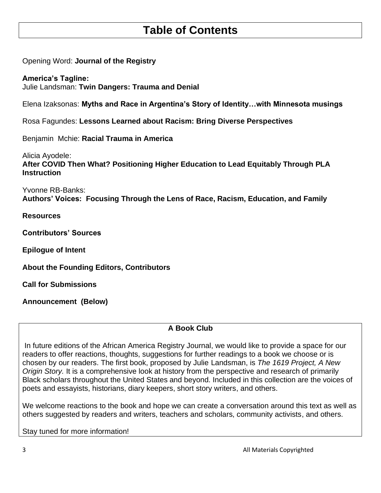## **Table of Contents**

Opening Word: **Journal of the Registry** 

**America's Tagline:** Julie Landsman: **Twin Dangers: Trauma and Denial**

Elena Izaksonas: **Myths and Race in Argentina's Story of Identity…with Minnesota musings**

Rosa Fagundes: **Lessons Learned about Racism: Bring Diverse Perspectives**

Benjamin Mchie: **Racial Trauma in America**

Alicia Ayodele: **After COVID Then What? Positioning Higher Education to Lead Equitably Through PLA Instruction** 

Yvonne RB-Banks: **Authors' Voices: Focusing Through the Lens of Race, Racism, Education, and Family**

**Resources**

**Contributors' Sources** 

**Epilogue of Intent** 

**About the Founding Editors, Contributors** 

**Call for Submissions**

**Announcement (Below)**

#### **A Book Club**

In future editions of the African America Registry Journal, we would like to provide a space for our readers to offer reactions, thoughts, suggestions for further readings to a book we choose or is chosen by our readers. The first book, proposed by Julie Landsman, is *The 1619 Project, A New Origin Story.* It is a comprehensive look at history from the perspective and research of primarily Black scholars throughout the United States and beyond. Included in this collection are the voices of poets and essayists, historians, diary keepers, short story writers, and others.

We welcome reactions to the book and hope we can create a conversation around this text as well as others suggested by readers and writers, teachers and scholars, community activists, and others.

Stay tuned for more information!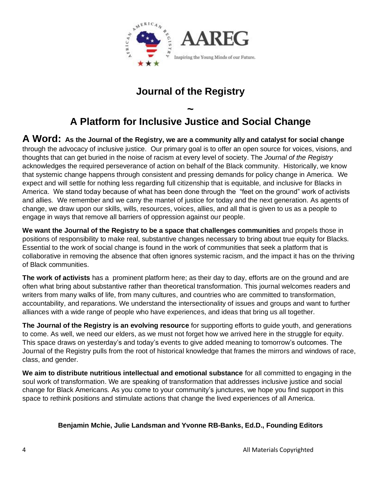

## **Journal of the Registry**

## **~ A Platform for Inclusive Justice and Social Change**

**A Word: As the Journal of the Registry, we are a community ally and catalyst for social change** through the advocacy of inclusive justice. Our primary goal is to offer an open source for voices, visions, and thoughts that can get buried in the noise of racism at every level of society. The *Journal of the Registry* acknowledges the required perseverance of action on behalf of the Black community. Historically, we know that systemic change happens through consistent and pressing demands for policy change in America. We expect and will settle for nothing less regarding full citizenship that is equitable, and inclusive for Blacks in America. We stand today because of what has been done through the "feet on the ground" work of activists and allies. We remember and we carry the mantel of justice for today and the next generation. As agents of change, we draw upon our skills, wills, resources, voices, allies, and all that is given to us as a people to engage in ways that remove all barriers of oppression against our people.

**We want the Journal of the Registry to be a space that challenges communities** and propels those in positions of responsibility to make real, substantive changes necessary to bring about true equity for Blacks. Essential to the work of social change is found in the work of communities that seek a platform that is collaborative in removing the absence that often ignores systemic racism, and the impact it has on the thriving of Black communities.

**The work of activists** has a prominent platform here; as their day to day, efforts are on the ground and are often what bring about substantive rather than theoretical transformation. This journal welcomes readers and writers from many walks of life, from many cultures, and countries who are committed to transformation, accountability, and reparations. We understand the intersectionality of issues and groups and want to further alliances with a wide range of people who have experiences, and ideas that bring us all together.

**The Journal of the Registry is an evolving resource** for supporting efforts to guide youth, and generations to come. As well, we need our elders, as we must not forget how we arrived here in the struggle for equity. This space draws on yesterday's and today's events to give added meaning to tomorrow's outcomes. The Journal of the Registry pulls from the root of historical knowledge that frames the mirrors and windows of race, class, and gender.

**We aim to distribute nutritious intellectual and emotional substance** for all committed to engaging in the soul work of transformation. We are speaking of transformation that addresses inclusive justice and social change for Black Americans. As you come to your community's junctures, we hope you find support in this space to rethink positions and stimulate actions that change the lived experiences of all America.

#### **Benjamin Mchie, Julie Landsman and Yvonne RB-Banks, Ed.D., Founding Editors**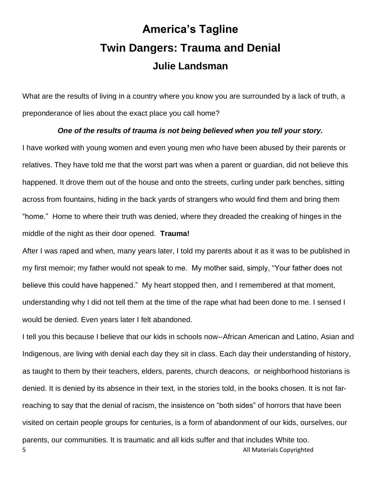# **America's Tagline Twin Dangers: Trauma and Denial Julie Landsman**

What are the results of living in a country where you know you are surrounded by a lack of truth, a preponderance of lies about the exact place you call home?

#### *One of the results of trauma is not being believed when you tell your story.*

I have worked with young women and even young men who have been abused by their parents or relatives. They have told me that the worst part was when a parent or guardian, did not believe this happened. It drove them out of the house and onto the streets, curling under park benches, sitting across from fountains, hiding in the back yards of strangers who would find them and bring them "home." Home to where their truth was denied, where they dreaded the creaking of hinges in the middle of the night as their door opened. **Trauma!**

After I was raped and when, many years later, I told my parents about it as it was to be published in my first memoir; my father would not speak to me. My mother said, simply, "Your father does not believe this could have happened." My heart stopped then, and I remembered at that moment, understanding why I did not tell them at the time of the rape what had been done to me. I sensed I would be denied. Even years later I felt abandoned.

5 **5** All Materials Copyrighted I tell you this because I believe that our kids in schools now--African American and Latino, Asian and Indigenous, are living with denial each day they sit in class. Each day their understanding of history, as taught to them by their teachers, elders, parents, church deacons, or neighborhood historians is denied. It is denied by its absence in their text, in the stories told, in the books chosen. It is not farreaching to say that the denial of racism, the insistence on "both sides" of horrors that have been visited on certain people groups for centuries, is a form of abandonment of our kids, ourselves, our parents, our communities. It is traumatic and all kids suffer and that includes White too.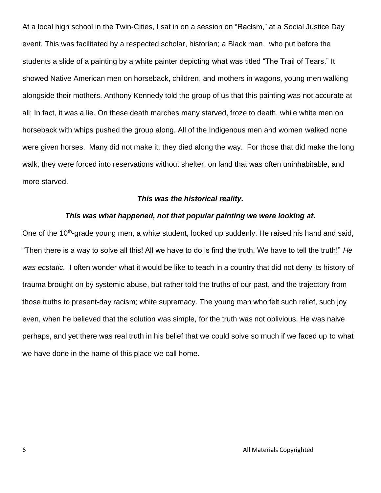At a local high school in the Twin-Cities, I sat in on a session on "Racism," at a Social Justice Day event. This was facilitated by a respected scholar, historian; a Black man, who put before the students a slide of a painting by a white painter depicting what was titled "The Trail of Tears." It showed Native American men on horseback, children, and mothers in wagons, young men walking alongside their mothers. Anthony Kennedy told the group of us that this painting was not accurate at all; In fact, it was a lie. On these death marches many starved, froze to death, while white men on horseback with whips pushed the group along. All of the Indigenous men and women walked none were given horses. Many did not make it, they died along the way. For those that did make the long walk, they were forced into reservations without shelter, on land that was often uninhabitable, and more starved.

#### *This was the historical reality.*

#### *This was what happened, not that popular painting we were looking at.*

One of the 10<sup>th</sup>-grade young men, a white student, looked up suddenly. He raised his hand and said, "Then there is a way to solve all this! All we have to do is find the truth. We have to tell the truth!" *He was ecstatic.* I often wonder what it would be like to teach in a country that did not deny its history of trauma brought on by systemic abuse, but rather told the truths of our past, and the trajectory from those truths to present-day racism; white supremacy. The young man who felt such relief, such joy even, when he believed that the solution was simple, for the truth was not oblivious. He was naive perhaps, and yet there was real truth in his belief that we could solve so much if we faced up to what we have done in the name of this place we call home.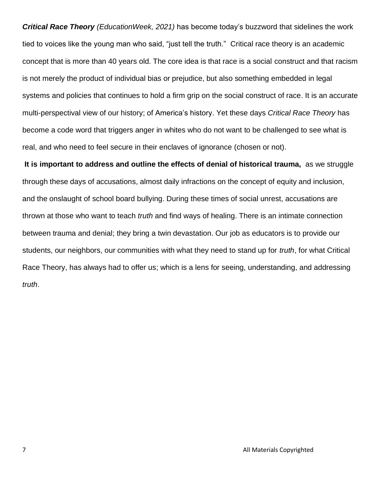*Critical Race Theory (EducationWeek, 2021)* has become today's buzzword that sidelines the work tied to voices like the young man who said, "just tell the truth." Critical race theory is an academic concept that is more than 40 years old. The core idea is that race is a social construct and that racism is not merely the product of individual bias or prejudice, but also something embedded in legal systems and policies that continues to hold a firm grip on the social construct of race. It is an accurate multi-perspectival view of our history; of America's history. Yet these days *Critical Race Theory* has become a code word that triggers anger in whites who do not want to be challenged to see what is real, and who need to feel secure in their enclaves of ignorance (chosen or not).

**It is important to address and outline the effects of denial of historical trauma,** as we struggle through these days of accusations, almost daily infractions on the concept of equity and inclusion, and the onslaught of school board bullying. During these times of social unrest, accusations are thrown at those who want to teach *truth* and find ways of healing. There is an intimate connection between trauma and denial; they bring a twin devastation. Our job as educators is to provide our students, our neighbors, our communities with what they need to stand up for *truth*, for what Critical Race Theory, has always had to offer us; which is a lens for seeing, understanding, and addressing *truth*.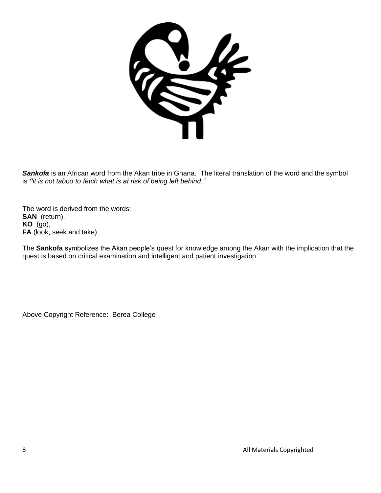

**Sankofa** is an African word from the Akan tribe in Ghana. The literal translation of the word and the symbol is *"it is not taboo to fetch what is at risk of being left behind."*

The word is derived from the words: **SAN** (return), **KO** (go), **FA** (look, seek and take).

The **Sankofa** symbolizes the Akan people's quest for knowledge among the Akan with the implication that the quest is based on critical examination and intelligent and patient investigation.

Above Copyright Reference: [Berea College](https://www.berea.edu/cgwc/the-power-of-sankofa/)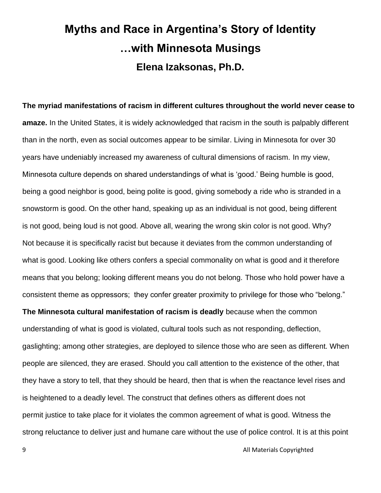# **Myths and Race in Argentina's Story of Identity …with Minnesota Musings Elena Izaksonas, Ph.D.**

**The myriad manifestations of racism in different cultures throughout the world never cease to amaze.** In the United States, it is widely acknowledged that racism in the south is palpably different than in the north, even as social outcomes appear to be similar. Living in Minnesota for over 30 years have undeniably increased my awareness of cultural dimensions of racism. In my view, Minnesota culture depends on shared understandings of what is 'good.' Being humble is good, being a good neighbor is good, being polite is good, giving somebody a ride who is stranded in a snowstorm is good. On the other hand, speaking up as an individual is not good, being different is not good, being loud is not good. Above all, wearing the wrong skin color is not good. Why? Not because it is specifically racist but because it deviates from the common understanding of what is good. Looking like others confers a special commonality on what is good and it therefore means that you belong; looking different means you do not belong. Those who hold power have a consistent theme as oppressors; they confer greater proximity to privilege for those who "belong." **The Minnesota cultural manifestation of racism is deadly** because when the common understanding of what is good is violated, cultural tools such as not responding, deflection, gaslighting; among other strategies, are deployed to silence those who are seen as different. When people are silenced, they are erased. Should you call attention to the existence of the other, that they have a story to tell, that they should be heard, then that is when the reactance level rises and is heightened to a deadly level. The construct that defines others as different does not permit justice to take place for it violates the common agreement of what is good. Witness the strong reluctance to deliver just and humane care without the use of police control. It is at this point

9 **All Materials Copyrighted**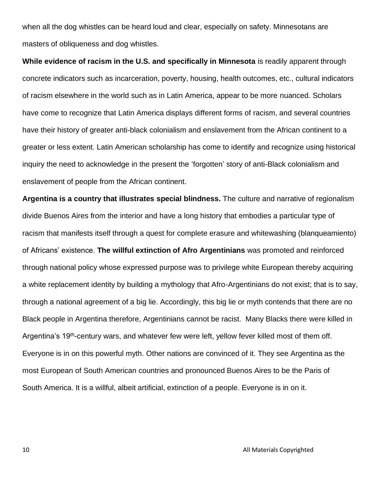when all the dog whistles can be heard loud and clear, especially on safety. Minnesotans are masters of obliqueness and dog whistles.

**While evidence of racism in the U.S. and specifically in Minnesota** is readily apparent through concrete indicators such as incarceration, poverty, housing, health outcomes, etc., cultural indicators of racism elsewhere in the world such as in Latin America, appear to be more nuanced. Scholars have come to recognize that Latin America displays different forms of racism, and several countries have their history of greater anti-black colonialism and enslavement from the African continent to a greater or less extent. Latin American scholarship has come to identify and recognize using historical inquiry the need to acknowledge in the present the 'forgotten' story of anti-Black colonialism and enslavement of people from the African continent.

**Argentina is a country that illustrates special blindness.** The culture and narrative of regionalism divide Buenos Aires from the interior and have a long history that embodies a particular type of racism that manifests itself through a quest for complete erasure and whitewashing (blanqueamiento) of Africans' existence. **The willful extinction of Afro Argentinians** was promoted and reinforced through national policy whose expressed purpose was to privilege white European thereby acquiring a white replacement identity by building a mythology that Afro-Argentinians do not exist; that is to say, through a national agreement of a big lie. Accordingly, this big lie or myth contends that there are no Black people in Argentina therefore, Argentinians cannot be racist. Many Blacks there were killed in Argentina's 19<sup>th</sup>-century wars, and whatever few were left, yellow fever killed most of them off. Everyone is in on this powerful myth. Other nations are convinced of it. They see Argentina as the most European of South American countries and pronounced Buenos Aires to be the Paris of South America. It is a willful, albeit artificial, extinction of a people. Everyone is in on it.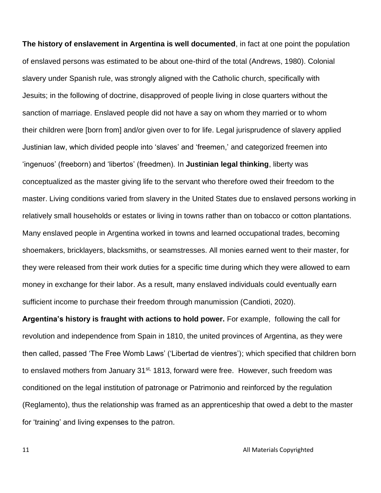**The history of enslavement in Argentina is well documented**, in fact at one point the population of enslaved persons was estimated to be about one-third of the total (Andrews, 1980). Colonial slavery under Spanish rule, was strongly aligned with the Catholic church, specifically with Jesuits; in the following of doctrine, disapproved of people living in close quarters without the sanction of marriage. Enslaved people did not have a say on whom they married or to whom their children were [born from] and/or given over to for life. Legal jurisprudence of slavery applied Justinian law, which divided people into 'slaves' and 'freemen,' and categorized freemen into 'ingenuos' (freeborn) and 'libertos' (freedmen). In **Justinian legal thinking**, liberty was conceptualized as the master giving life to the servant who therefore owed their freedom to the master. Living conditions varied from slavery in the United States due to enslaved persons working in relatively small households or estates or living in towns rather than on tobacco or cotton plantations. Many enslaved people in Argentina worked in towns and learned occupational trades, becoming shoemakers, bricklayers, blacksmiths, or seamstresses. All monies earned went to their master, for they were released from their work duties for a specific time during which they were allowed to earn money in exchange for their labor. As a result, many enslaved individuals could eventually earn sufficient income to purchase their freedom through manumission (Candioti, 2020).

**Argentina's history is fraught with actions to hold power.** For example, following the call for revolution and independence from Spain in 1810, the united provinces of Argentina, as they were then called, passed 'The Free Womb Laws' ('Libertad de vientres'); which specified that children born to enslaved mothers from January 31<sup>st,</sup> 1813, forward were free. However, such freedom was conditioned on the legal institution of patronage or Patrimonio and reinforced by the regulation (Reglamento), thus the relationship was framed as an apprenticeship that owed a debt to the master for 'training' and living expenses to the patron.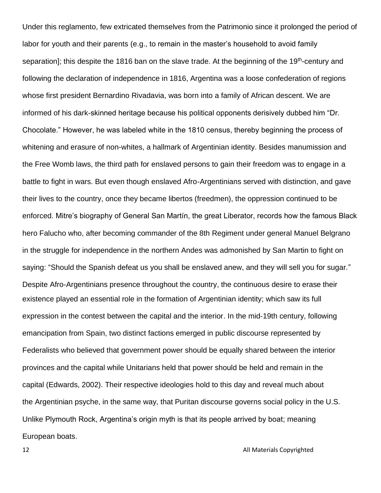Under this reglamento, few extricated themselves from the Patrimonio since it prolonged the period of labor for youth and their parents (e.g., to remain in the master's household to avoid family separation]; this despite the 1816 ban on the slave trade. At the beginning of the 19<sup>th</sup>-century and following the declaration of independence in 1816, Argentina was a loose confederation of regions whose first president Bernardino Rivadavia, was born into a family of African descent. We are informed of his dark-skinned heritage because his political opponents derisively dubbed him "Dr. Chocolate." However, he was labeled white in the 1810 census, thereby beginning the process of whitening and erasure of non-whites, a hallmark of Argentinian identity. Besides manumission and the Free Womb laws, the third path for enslaved persons to gain their freedom was to engage in a battle to fight in wars. But even though enslaved Afro-Argentinians served with distinction, and gave their lives to the country, once they became libertos (freedmen), the oppression continued to be enforced. Mitre's biography of General San Martín, the great Liberator, records how the famous Black hero Falucho who, after becoming commander of the 8th Regiment under general Manuel Belgrano in the struggle for independence in the northern Andes was admonished by San Martin to fight on saying: "Should the Spanish defeat us you shall be enslaved anew, and they will sell you for sugar." Despite Afro-Argentinians presence throughout the country, the continuous desire to erase their existence played an essential role in the formation of Argentinian identity; which saw its full expression in the contest between the capital and the interior. In the mid-19th century, following emancipation from Spain, two distinct factions emerged in public discourse represented by Federalists who believed that government power should be equally shared between the interior provinces and the capital while Unitarians held that power should be held and remain in the capital (Edwards, 2002). Their respective ideologies hold to this day and reveal much about the Argentinian psyche, in the same way, that Puritan discourse governs social policy in the U.S. Unlike Plymouth Rock, Argentina's origin myth is that its people arrived by boat; meaning European boats.

12 **All Materials Copyrighted**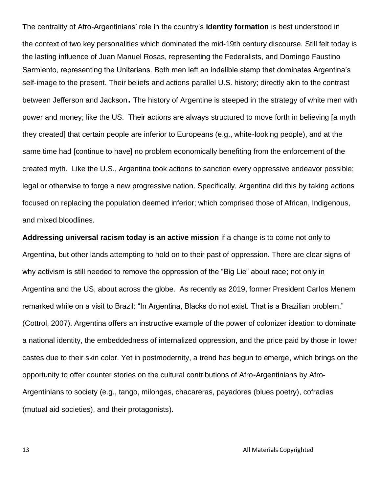The centrality of Afro-Argentinians' role in the country's **identity formation** is best understood in the context of two key personalities which dominated the mid-19th century discourse. Still felt today is the lasting influence of Juan Manuel Rosas, representing the Federalists, and Domingo Faustino Sarmiento, representing the Unitarians. Both men left an indelible stamp that dominates Argentina's self-image to the present. Their beliefs and actions parallel U.S. history; directly akin to the contrast between Jefferson and Jackson. The history of Argentine is steeped in the strategy of white men with power and money; like the US. Their actions are always structured to move forth in believing [a myth they created] that certain people are inferior to Europeans (e.g., white-looking people), and at the same time had [continue to have] no problem economically benefiting from the enforcement of the created myth. Like the U.S., Argentina took actions to sanction every oppressive endeavor possible; legal or otherwise to forge a new progressive nation. Specifically, Argentina did this by taking actions focused on replacing the population deemed inferior; which comprised those of African, Indigenous, and mixed bloodlines.

**Addressing universal racism today is an active mission** if a change is to come not only to Argentina, but other lands attempting to hold on to their past of oppression. There are clear signs of why activism is still needed to remove the oppression of the "Big Lie" about race; not only in Argentina and the US, about across the globe. As recently as 2019, former President Carlos Menem remarked while on a visit to Brazil: "In Argentina, Blacks do not exist. That is a Brazilian problem." (Cottrol, 2007). Argentina offers an instructive example of the power of colonizer ideation to dominate a national identity, the embeddedness of internalized oppression, and the price paid by those in lower castes due to their skin color. Yet in postmodernity, a trend has begun to emerge, which brings on the opportunity to offer counter stories on the cultural contributions of Afro-Argentinians by Afro-Argentinians to society (e.g., tango, milongas, chacareras, payadores (blues poetry), cofradias (mutual aid societies), and their protagonists).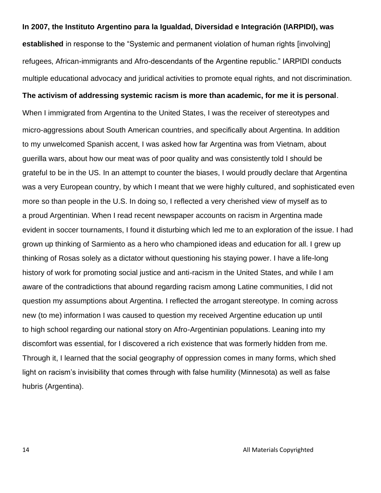#### **In 2007, the Instituto Argentino para la Igualdad, Diversidad e Integración (IARPIDI), was**

**established** in response to the "Systemic and permanent violation of human rights [involving] refugees, African-immigrants and Afro-descendants of the Argentine republic." IARPIDI conducts multiple educational advocacy and juridical activities to promote equal rights, and not discrimination.

#### **The activism of addressing systemic racism is more than academic, for me it is personal**.

When I immigrated from Argentina to the United States, I was the receiver of stereotypes and micro-aggressions about South American countries, and specifically about Argentina. In addition to my unwelcomed Spanish accent, I was asked how far Argentina was from Vietnam, about guerilla wars, about how our meat was of poor quality and was consistently told I should be grateful to be in the US. In an attempt to counter the biases, I would proudly declare that Argentina was a very European country, by which I meant that we were highly cultured, and sophisticated even more so than people in the U.S. In doing so, I reflected a very cherished view of myself as to a proud Argentinian. When I read recent newspaper accounts on racism in Argentina made evident in soccer tournaments, I found it disturbing which led me to an exploration of the issue. I had grown up thinking of Sarmiento as a hero who championed ideas and education for all. I grew up thinking of Rosas solely as a dictator without questioning his staying power. I have a life-long history of work for promoting social justice and anti-racism in the United States, and while I am aware of the contradictions that abound regarding racism among Latine communities, I did not question my assumptions about Argentina. I reflected the arrogant stereotype. In coming across new (to me) information I was caused to question my received Argentine education up until to high school regarding our national story on Afro-Argentinian populations. Leaning into my discomfort was essential, for I discovered a rich existence that was formerly hidden from me. Through it, I learned that the social geography of oppression comes in many forms, which shed light on racism's invisibility that comes through with false humility (Minnesota) as well as false hubris (Argentina).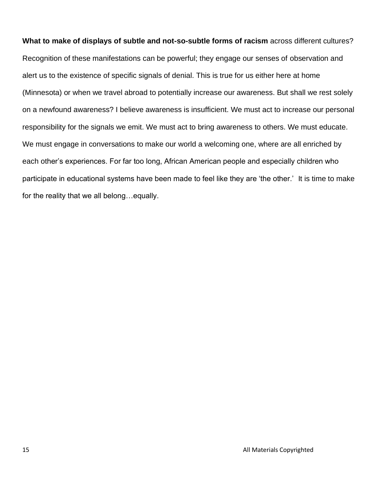**What to make of displays of subtle and not-so-subtle forms of racism** across different cultures? Recognition of these manifestations can be powerful; they engage our senses of observation and alert us to the existence of specific signals of denial. This is true for us either here at home (Minnesota) or when we travel abroad to potentially increase our awareness. But shall we rest solely on a newfound awareness? I believe awareness is insufficient. We must act to increase our personal responsibility for the signals we emit. We must act to bring awareness to others. We must educate. We must engage in conversations to make our world a welcoming one, where are all enriched by each other's experiences. For far too long, African American people and especially children who participate in educational systems have been made to feel like they are 'the other.' It is time to make for the reality that we all belong…equally.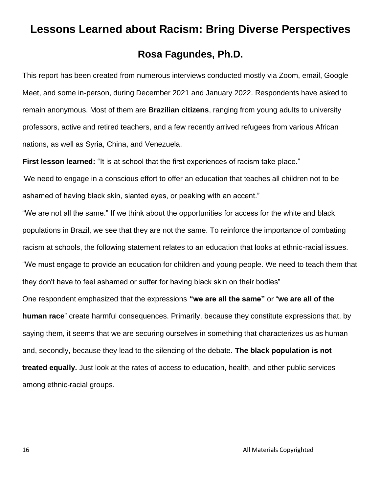## **Lessons Learned about Racism: Bring Diverse Perspectives**

## **Rosa Fagundes, Ph.D.**

This report has been created from numerous interviews conducted mostly via Zoom, email, Google Meet, and some in-person, during December 2021 and January 2022. Respondents have asked to remain anonymous. Most of them are **Brazilian citizens**, ranging from young adults to university professors, active and retired teachers, and a few recently arrived refugees from various African nations, as well as Syria, China, and Venezuela.

**First lesson learned:** "It is at school that the first experiences of racism take place."

'We need to engage in a conscious effort to offer an education that teaches all children not to be ashamed of having black skin, slanted eyes, or peaking with an accent."

"We are not all the same." If we think about the opportunities for access for the white and black populations in Brazil, we see that they are not the same. To reinforce the importance of combating racism at schools, the following statement relates to an education that looks at ethnic-racial issues. "We must engage to provide an education for children and young people. We need to teach them that they don't have to feel ashamed or suffer for having black skin on their bodies"

One respondent emphasized that the expressions **"we are all the same"** or "**we are all of the human race**" create harmful consequences. Primarily, because they constitute expressions that, by saying them, it seems that we are securing ourselves in something that characterizes us as human and, secondly, because they lead to the silencing of the debate. **The black population is not treated equally.** Just look at the rates of access to education, health, and other public services among ethnic-racial groups.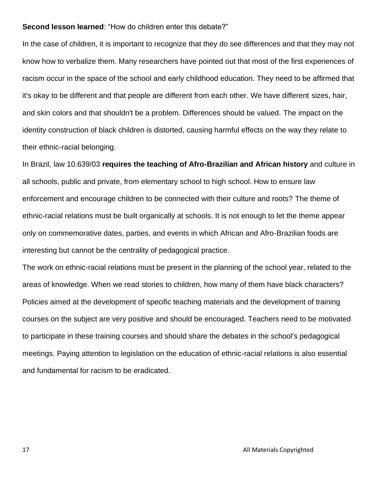#### **Second lesson learned**: "How do children enter this debate?"

In the case of children, it is important to recognize that they do see differences and that they may not know how to verbalize them. Many researchers have pointed out that most of the first experiences of racism occur in the space of the school and early childhood education. They need to be affirmed that it's okay to be different and that people are different from each other. We have different sizes, hair, and skin colors and that shouldn't be a problem. Differences should be valued. The impact on the identity construction of black children is distorted, causing harmful effects on the way they relate to their ethnic-racial belonging.

In Brazil, law 10.639/03 **requires the teaching of Afro-Brazilian and African history** and culture in all schools, public and private, from elementary school to high school. How to ensure law enforcement and encourage children to be connected with their culture and roots? The theme of ethnic-racial relations must be built organically at schools. It is not enough to let the theme appear only on commemorative dates, parties, and events in which African and Afro-Brazilian foods are interesting but cannot be the centrality of pedagogical practice.

The work on ethnic-racial relations must be present in the planning of the school year, related to the areas of knowledge. When we read stories to children, how many of them have black characters? Policies aimed at the development of specific teaching materials and the development of training courses on the subject are very positive and should be encouraged. Teachers need to be motivated to participate in these training courses and should share the debates in the school's pedagogical meetings. Paying attention to legislation on the education of ethnic-racial relations is also essential and fundamental for racism to be eradicated.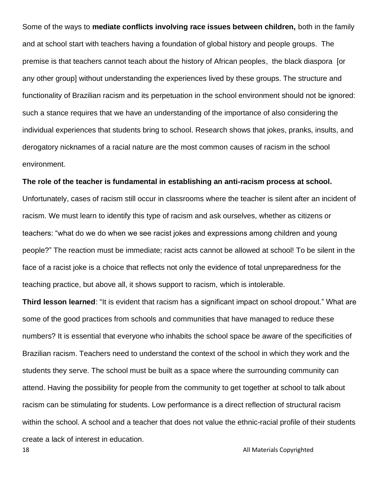Some of the ways to **mediate conflicts involving race issues between children,** both in the family and at school start with teachers having a foundation of global history and people groups. The premise is that teachers cannot teach about the history of African peoples, the black diaspora [or any other group] without understanding the experiences lived by these groups. The structure and functionality of Brazilian racism and its perpetuation in the school environment should not be ignored: such a stance requires that we have an understanding of the importance of also considering the individual experiences that students bring to school. Research shows that jokes, pranks, insults, and derogatory nicknames of a racial nature are the most common causes of racism in the school environment.

#### **The role of the teacher is fundamental in establishing an anti-racism process at school.**

Unfortunately, cases of racism still occur in classrooms where the teacher is silent after an incident of racism. We must learn to identify this type of racism and ask ourselves, whether as citizens or teachers: "what do we do when we see racist jokes and expressions among children and young people?" The reaction must be immediate; racist acts cannot be allowed at school! To be silent in the face of a racist joke is a choice that reflects not only the evidence of total unpreparedness for the teaching practice, but above all, it shows support to racism, which is intolerable.

**18 All Materials Copyrighted Third lesson learned**: "It is evident that racism has a significant impact on school dropout." What are some of the good practices from schools and communities that have managed to reduce these numbers? It is essential that everyone who inhabits the school space be aware of the specificities of Brazilian racism. Teachers need to understand the context of the school in which they work and the students they serve. The school must be built as a space where the surrounding community can attend. Having the possibility for people from the community to get together at school to talk about racism can be stimulating for students. Low performance is a direct reflection of structural racism within the school. A school and a teacher that does not value the ethnic-racial profile of their students create a lack of interest in education.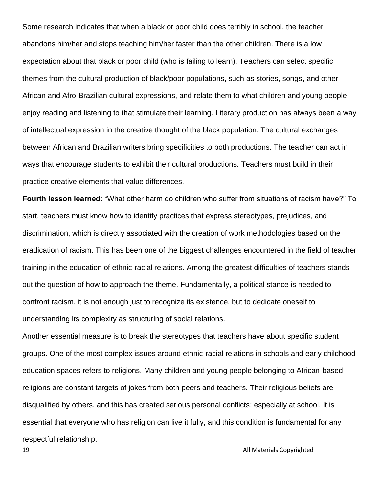Some research indicates that when a black or poor child does terribly in school, the teacher abandons him/her and stops teaching him/her faster than the other children. There is a low expectation about that black or poor child (who is failing to learn). Teachers can select specific themes from the cultural production of black/poor populations, such as stories, songs, and other African and Afro-Brazilian cultural expressions, and relate them to what children and young people enjoy reading and listening to that stimulate their learning. Literary production has always been a way of intellectual expression in the creative thought of the black population. The cultural exchanges between African and Brazilian writers bring specificities to both productions. The teacher can act in ways that encourage students to exhibit their cultural productions. Teachers must build in their practice creative elements that value differences.

**Fourth lesson learned**: "What other harm do children who suffer from situations of racism have?" To start, teachers must know how to identify practices that express stereotypes, prejudices, and discrimination, which is directly associated with the creation of work methodologies based on the eradication of racism. This has been one of the biggest challenges encountered in the field of teacher training in the education of ethnic-racial relations. Among the greatest difficulties of teachers stands out the question of how to approach the theme. Fundamentally, a political stance is needed to confront racism, it is not enough just to recognize its existence, but to dedicate oneself to understanding its complexity as structuring of social relations.

Another essential measure is to break the stereotypes that teachers have about specific student groups. One of the most complex issues around ethnic-racial relations in schools and early childhood education spaces refers to religions. Many children and young people belonging to African-based religions are constant targets of jokes from both peers and teachers. Their religious beliefs are disqualified by others, and this has created serious personal conflicts; especially at school. It is essential that everyone who has religion can live it fully, and this condition is fundamental for any respectful relationship.

19 **All Materials Copyrighted**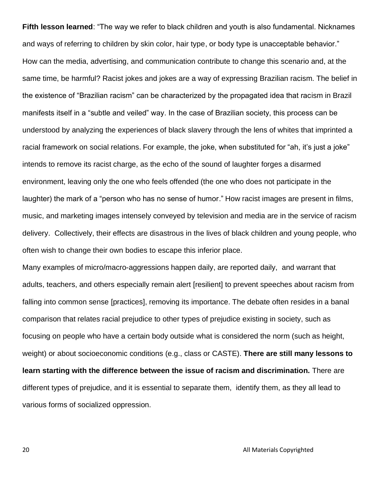**Fifth lesson learned**: "The way we refer to black children and youth is also fundamental. Nicknames and ways of referring to children by skin color, hair type, or body type is unacceptable behavior." How can the media, advertising, and communication contribute to change this scenario and, at the same time, be harmful? Racist jokes and jokes are a way of expressing Brazilian racism. The belief in the existence of "Brazilian racism" can be characterized by the propagated idea that racism in Brazil manifests itself in a "subtle and veiled" way. In the case of Brazilian society, this process can be understood by analyzing the experiences of black slavery through the lens of whites that imprinted a racial framework on social relations. For example, the joke, when substituted for "ah, it's just a joke" intends to remove its racist charge, as the echo of the sound of laughter forges a disarmed environment, leaving only the one who feels offended (the one who does not participate in the laughter) the mark of a "person who has no sense of humor." How racist images are present in films, music, and marketing images intensely conveyed by television and media are in the service of racism delivery. Collectively, their effects are disastrous in the lives of black children and young people, who often wish to change their own bodies to escape this inferior place.

Many examples of micro/macro-aggressions happen daily, are reported daily, and warrant that adults, teachers, and others especially remain alert [resilient] to prevent speeches about racism from falling into common sense [practices], removing its importance. The debate often resides in a banal comparison that relates racial prejudice to other types of prejudice existing in society, such as focusing on people who have a certain body outside what is considered the norm (such as height, weight) or about socioeconomic conditions (e.g., class or CASTE). **There are still many lessons to learn starting with the difference between the issue of racism and discrimination.** There are different types of prejudice, and it is essential to separate them, identify them, as they all lead to various forms of socialized oppression.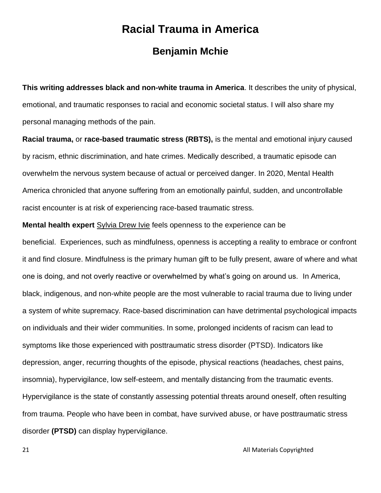## **Racial Trauma in America**

## **Benjamin Mchie**

**This writing addresses black and non-white trauma in America**. It describes the unity of physical, emotional, and traumatic responses to racial and economic societal status. I will also share my personal managing methods of the pain.

**Racial trauma,** or **race-based traumatic stress (RBTS),** is the mental and emotional injury caused by racism, ethnic discrimination, and hate crimes. Medically described, a traumatic episode can overwhelm the nervous system because of actual or perceived danger. In 2020, Mental Health America chronicled that anyone suffering from an emotionally painful, sudden, and uncontrollable racist encounter is at risk of experiencing race-based traumatic stress.

**Mental health expert** [Sylvia Drew Ivie](https://aaregistry.org/video/post-tramatic-slave-syndrome-sylvia-drew-ivie/) feels openness to the experience can be beneficial. Experiences, such as mindfulness, openness is accepting a reality to embrace or confront it and find closure. Mindfulness is the primary human gift to be fully present, aware of where and what one is doing, and not overly reactive or overwhelmed by what's going on around us.In America, black, indigenous, and non-white people are the most vulnerable to racial trauma due to living under a system of white supremacy. Race-based discrimination can have detrimental psychological impacts on individuals and their wider communities. In some, prolonged incidents of racism can lead to symptoms like those experienced with posttraumatic stress disorder (PTSD). Indicators like depression, anger, recurring thoughts of the episode, physical reactions (headaches, chest pains, insomnia), hypervigilance, low self-esteem, and mentally distancing from the traumatic events. Hypervigilance is the state of constantly assessing potential threats around oneself, often resulting from trauma. People who have been in combat, have survived abuse, or have posttraumatic stress disorder **(PTSD)** can display hypervigilance.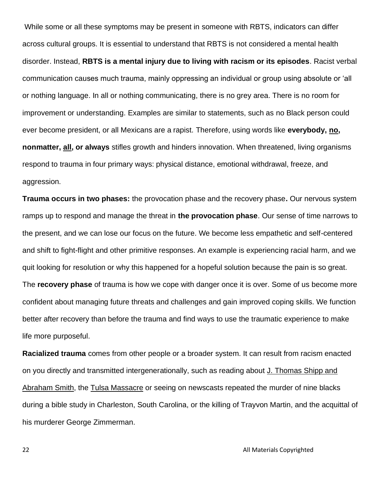While some or all these symptoms may be present in someone with RBTS, indicators can differ across cultural groups. It is essential to understand that RBTS is not considered a mental health disorder. Instead, **RBTS is a mental injury due to living with racism or its episodes**. Racist verbal communication causes much trauma, mainly oppressing an individual or group using absolute or 'all or nothing language. In all or nothing communicating, there is no grey area. There is no room for improvement or understanding. Examples are similar to statements, such as no Black person could ever become president, or all Mexicans are a rapist. Therefore, using words like **everybody, no, nonmatter, all, or always** stifles growth and hinders innovation. When threatened, living organisms respond to trauma in four primary ways: physical distance, emotional withdrawal, freeze, and aggression.

**Trauma occurs in two phases:** the provocation phase and the recovery phase**.** Our nervous system ramps up to respond and manage the threat in **the provocation phase**. Our sense of time narrows to the present, and we can lose our focus on the future. We become less empathetic and self-centered and shift to fight-flight and other primitive responses. An example is experiencing racial harm, and we quit looking for resolution or why this happened for a hopeful solution because the pain is so great. The **recovery phase** of trauma is how we cope with danger once it is over. Some of us become more confident about managing future threats and challenges and gain improved coping skills. We function better after recovery than before the trauma and find ways to use the traumatic experience to make life more purposeful.

**Racialized trauma** comes from other people or a broader system. It can result from racism enacted on you directly and transmitted intergenerationally, such as reading about [J. Thomas Shipp and](https://aaregistry.org/story/the-lynching-of-j-thomas-shipp-and-abraham-s-smith-occurs/)  [Abraham Smith,](https://aaregistry.org/story/the-lynching-of-j-thomas-shipp-and-abraham-s-smith-occurs/) the [Tulsa Massacre](https://aaregistry.org/story/race-riot-in-tulsa-oklahoma/) or seeing on newscasts repeated the murder of nine blacks during a bible study in Charleston, South Carolina, or the killing of Trayvon Martin, and the acquittal of his murderer George Zimmerman.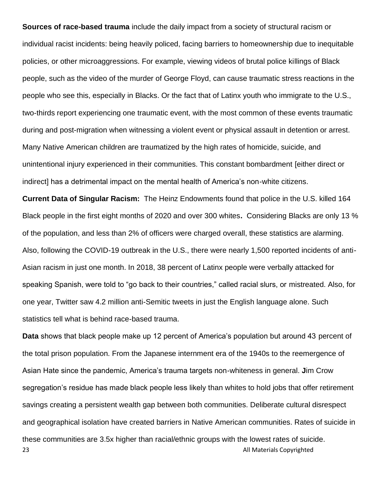**Sources of race-based trauma** include the daily impact from a society of structural racism or individual racist incidents: being heavily policed, facing barriers to homeownership due to inequitable policies, or other microaggressions. For example, viewing videos of brutal police killings of Black people, such as the video of the murder of George Floyd, can cause traumatic stress reactions in the people who see this, especially in Blacks. Or the fact that of Latinx youth who immigrate to the U.S., two-thirds report experiencing one traumatic event, with the most common of these events traumatic during and post-migration when witnessing a violent event or physical assault in detention or arrest. Many Native American children are traumatized by the high rates of homicide, suicide, and unintentional injury experienced in their communities. This constant bombardment [either direct or indirect] has a detrimental impact on the mental health of America's non-white citizens.

**Current Data of Singular Racism:** The Heinz Endowments found that police in the U.S. killed 164 Black people in the first eight months of 2020 and over 300 whites**.** Considering Blacks are only 13 % of the population, and less than 2% of officers were charged overall, these statistics are alarming. Also, following the COVID-19 outbreak in the U.S., there were nearly 1,500 reported incidents of anti-Asian racism in just one month. In 2018, 38 percent of Latinx people were verbally attacked for speaking Spanish, were told to "go back to their countries," called racial slurs, or mistreated. Also, for one year, Twitter saw 4.2 million anti-Semitic tweets in just the English language alone. Such statistics tell what is behind race-based trauma.

23 **All Materials Copyrighted Data** shows that black people make up 12 percent of America's population but around 43 percent of the total prison population. From the Japanese internment era of the 1940s to the reemergence of Asian Hate since the pandemic, America's trauma targets non-whiteness in general. **J**im Crow segregation's residue has made black people less likely than whites to hold jobs that offer retirement savings creating a persistent wealth gap between both communities. Deliberate cultural disrespect and geographical isolation have created barriers in Native American communities. Rates of suicide in these communities are 3.5x higher than racial/ethnic groups with the lowest rates of suicide.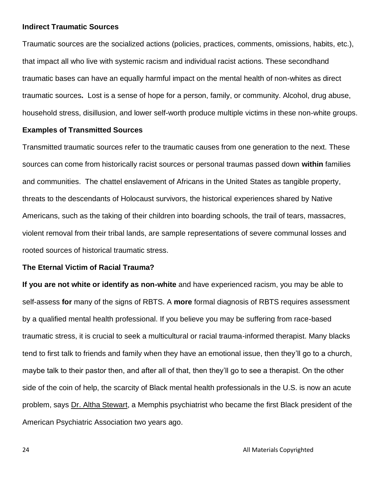#### **Indirect Traumatic Sources**

Traumatic sources are the socialized actions (policies, practices, comments, omissions, habits, etc.), that impact all who live with systemic racism and individual racist actions. These secondhand traumatic bases can have an equally harmful impact on the mental health of non-whites as direct traumatic sources**.** Lost is a sense of hope for a person, family, or community. Alcohol, drug abuse, household stress, disillusion, and lower self-worth produce multiple victims in these non-white groups.

#### **Examples of Transmitted Sources**

Transmitted traumatic sources refer to the traumatic causes from one generation to the next. These sources can come from historically racist sources or personal traumas passed down **within** families and communities. The chattel enslavement of Africans in the United States as tangible property, threats to the descendants of Holocaust survivors, the historical experiences shared by Native Americans, such as the taking of their children into boarding schools, the trail of tears, massacres, violent removal from their tribal lands, are sample representations of severe communal losses and rooted sources of historical traumatic stress.

#### **The Eternal Victim of Racial Trauma?**

**If you are not white or identify as non-white** and have experienced racism, you may be able to self-assess **for** many of the signs of RBTS. A **more** formal diagnosis of RBTS requires assessment by a qualified mental health professional. If you believe you may be suffering from race-based traumatic stress, it is crucial to seek a multicultural or racial trauma-informed therapist. Many blacks tend to first talk to friends and family when they have an emotional issue, then they'll go to a church, maybe talk to their pastor then, and after all of that, then they'll go to see a therapist. On the other side of the coin of help, the scarcity of Black mental health professionals in the U.S. is now an acute problem, says [Dr. Altha Stewart,](https://www.psychiatry.org/about-apa/meet-our-organization/board-of-trustees/altha-stewart#:~:text=Altha%20J.,Annual%20Meeting%20in%20May%2C%202018.) a Memphis psychiatrist who became the first Black president of the American Psychiatric Association two years ago.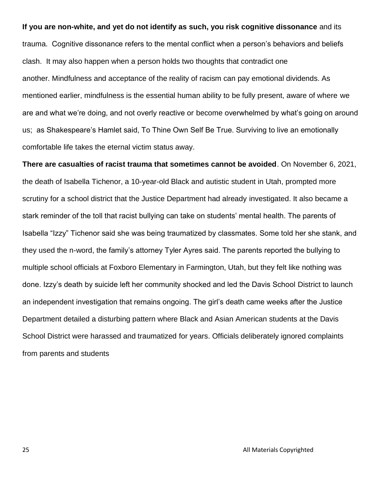#### **If you are non-white, and yet do not identify as such, you risk cognitive dissonance** and its

trauma. Cognitive dissonance refers to the mental conflict when a person's behaviors and beliefs clash.It may also happen when a person holds two thoughts that contradict one another. Mindfulness and acceptance of the reality of racism can pay emotional dividends. As mentioned earlier, mindfulness is the essential human ability to be fully present, aware of where we are and what we're doing, and not overly reactive or become overwhelmed by what's going on around us; as Shakespeare's Hamlet said, To Thine Own Self Be True. Surviving to live an emotionally comfortable life takes the eternal victim status away.

**There are casualties of racist trauma that sometimes cannot be avoided**. On November 6, 2021, the death of Isabella Tichenor, a 10-year-old Black and autistic student in Utah, prompted more scrutiny for a school district that the Justice Department had already investigated. It also became a stark reminder of the toll that racist bullying can take on students' mental health. The parents of Isabella "Izzy" Tichenor said she was being traumatized by classmates. Some told her she stank, and they used the n-word, the family's attorney Tyler Ayres said. The parents reported the bullying to multiple school officials at Foxboro Elementary in Farmington, Utah, but they felt like nothing was done. Izzy's death by suicide left her community shocked and led the Davis School District to launch an independent investigation that remains ongoing. The girl's death came weeks after the Justice Department detailed a disturbing pattern where Black and Asian American students at the Davis School District were harassed and traumatized for years. Officials deliberately ignored complaints from parents and students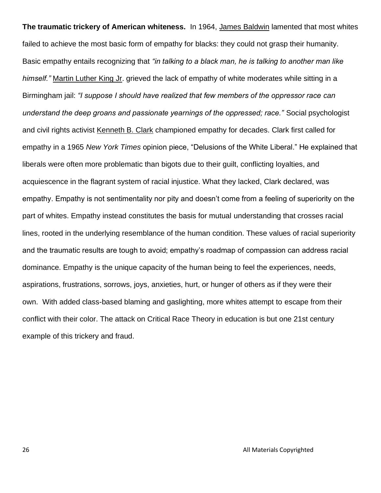**The traumatic trickery of American whiteness.** In 1964, James [Baldwin](https://aaregistry.org/story/author-james-baldwin-a-leading-black-writer-and-critic/) lamented that most whites failed to achieve the most basic form of empathy for blacks: they could not grasp their humanity. Basic empathy entails recognizing that *"in talking to a black man, he is talking to another man like himself."* [Martin Luther King Jr.](https://aaregistry.org/story/dr-king-pens-birmingham-letter/) grieved the lack of empathy of white moderates while sitting in a Birmingham jail: *"I suppose I should have realized that few members of the oppressor race can understand the deep groans and passionate yearnings of the oppressed; race."* Social psychologist and civil rights activist [Kenneth B. Clark](https://aaregistry.org/story/kenneth-b-clark-pioneering-educator-and-psychologist/) championed empathy for decades. Clark first called for empathy in a 1965 *New York Times* opinion piece, "Delusions of the White Liberal." He explained that liberals were often more problematic than bigots due to their guilt, conflicting loyalties, and acquiescence in the flagrant system of racial injustice. What they lacked, Clark declared, was empathy. Empathy is not sentimentality nor pity and doesn't come from a feeling of superiority on the part of whites. Empathy instead constitutes the basis for mutual understanding that crosses racial lines, rooted in the underlying resemblance of the human condition. These values of racial superiority and the traumatic results are tough to avoid; empathy's roadmap of compassion can address racial dominance. Empathy is the unique capacity of the human being to feel the experiences, needs, aspirations, frustrations, sorrows, joys, anxieties, hurt, or hunger of others as if they were their own. With added class-based blaming and gaslighting, more whites attempt to escape from their conflict with their color. The attack on Critical Race Theory in education is but one 21st century example of this trickery and fraud.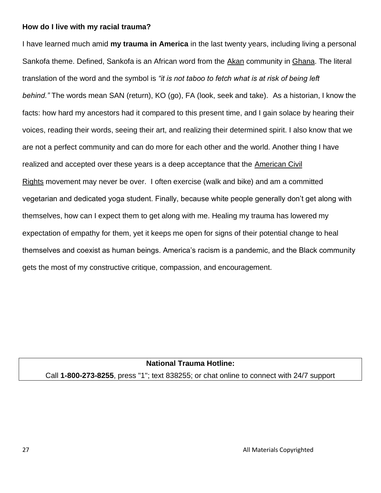#### **How do I live with my racial trauma?**

I have learned much amid **my trauma in America** in the last twenty years, including living a personal Sankofa theme. Defined, Sankofa is an African word from the [Akan](https://aaregistry.org/story/the-akan-african-community-a-story/) community in [Ghana.](https://aaregistry.org/story/ghana-achieves-freedom/) The literal translation of the word and the symbol is *"it is not taboo to fetch what is at risk of being left behind."* The words mean SAN (return), KO (go), FA (look, seek and take).As a historian, I know the facts: how hard my ancestors had it compared to this present time, and I gain solace by hearing their voices, reading their words, seeing their art, and realizing their determined spirit. I also know that we are not a perfect community and can do more for each other and the world. Another thing I have realized and accepted over these years is a deep acceptance that the [American Civil](https://aaregistry.org/story/civil-rights-a-brief-history/)  [Rights](https://aaregistry.org/story/civil-rights-a-brief-history/) movement may never be over. I often exercise (walk and bike) and am a committed vegetarian and dedicated yoga student. Finally, because white people generally don't get along with themselves, how can I expect them to get along with me. Healing my trauma has lowered my expectation of empathy for them, yet it keeps me open for signs of their potential change to heal themselves and coexist as human beings. America's racism is a pandemic, and the Black community gets the most of my constructive critique, compassion, and encouragement.

#### **National Trauma Hotline:**

Call **1-800-273-8255**, press "1"; text 838255; or chat online to connect with 24/7 support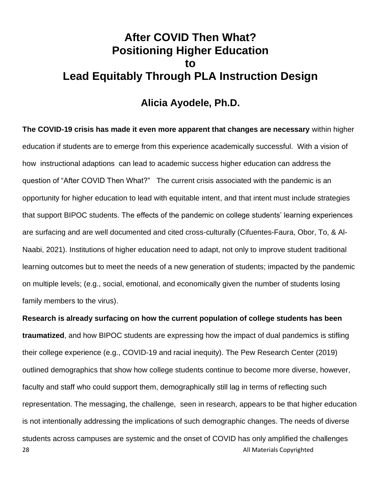## **After COVID Then What? Positioning Higher Education to Lead Equitably Through PLA Instruction Design**

### **Alicia Ayodele, Ph.D.**

**The COVID-19 crisis has made it even more apparent that changes are necessary** within higher education if students are to emerge from this experience academically successful. With a vision of how instructional adaptions can lead to academic success higher education can address the question of "After COVID Then What?" The current crisis associated with the pandemic is an opportunity for higher education to lead with equitable intent, and that intent must include strategies that support BIPOC students. The effects of the pandemic on college students' learning experiences are surfacing and are well documented and cited cross-culturally (Cifuentes-Faura, Obor, To, & Al-Naabi, 2021). Institutions of higher education need to adapt, not only to improve student traditional learning outcomes but to meet the needs of a new generation of students; impacted by the pandemic on multiple levels; (e.g., social, emotional, and economically given the number of students losing family members to the virus).

28 **All Materials Copyrighted Research is already surfacing on how the current population of college students has been traumatized**, and how BIPOC students are expressing how the impact of dual pandemics is stifling their college experience (e.g., COVID-19 and racial inequity). The Pew Research Center (2019) outlined demographics that show how college students continue to become more diverse, however, faculty and staff who could support them, demographically still lag in terms of reflecting such representation. The messaging, the challenge, seen in research, appears to be that higher education is not intentionally addressing the implications of such demographic changes. The needs of diverse students across campuses are systemic and the onset of COVID has only amplified the challenges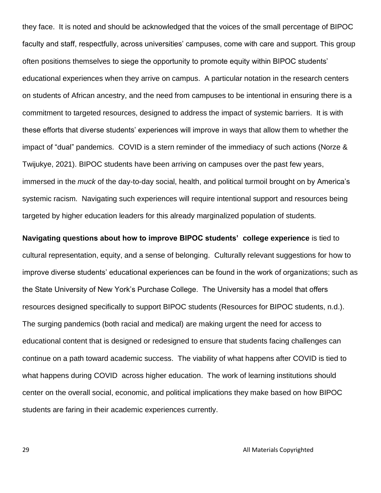they face. It is noted and should be acknowledged that the voices of the small percentage of BIPOC faculty and staff, respectfully, across universities' campuses, come with care and support. This group often positions themselves to siege the opportunity to promote equity within BIPOC students' educational experiences when they arrive on campus. A particular notation in the research centers on students of African ancestry, and the need from campuses to be intentional in ensuring there is a commitment to targeted resources, designed to address the impact of systemic barriers. It is with these efforts that diverse students' experiences will improve in ways that allow them to whether the impact of "dual" pandemics. COVID is a stern reminder of the immediacy of such actions (Norze & Twijukye, 2021). BIPOC students have been arriving on campuses over the past few years, immersed in the *muck* of the day-to-day social, health, and political turmoil brought on by America's systemic racism. Navigating such experiences will require intentional support and resources being targeted by higher education leaders for this already marginalized population of students.

**Navigating questions about how to improve BIPOC students' college experience** is tied to cultural representation, equity, and a sense of belonging. Culturally relevant suggestions for how to improve diverse students' educational experiences can be found in the work of organizations; such as the State University of New York's Purchase College. The University has a model that offers resources designed specifically to support BIPOC students (Resources for BIPOC students, n.d.). The surging pandemics (both racial and medical) are making urgent the need for access to educational content that is designed or redesigned to ensure that students facing challenges can continue on a path toward academic success. The viability of what happens after COVID is tied to what happens during COVID across higher education. The work of learning institutions should center on the overall social, economic, and political implications they make based on how BIPOC students are faring in their academic experiences currently.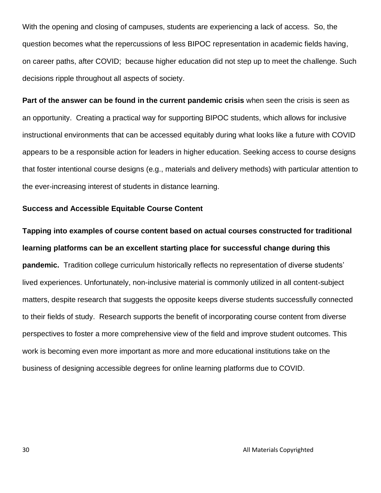With the opening and closing of campuses, students are experiencing a lack of access. So, the question becomes what the repercussions of less BIPOC representation in academic fields having, on career paths, after COVID; because higher education did not step up to meet the challenge. Such decisions ripple throughout all aspects of society.

**Part of the answer can be found in the current pandemic crisis** when seen the crisis is seen as an opportunity. Creating a practical way for supporting BIPOC students, which allows for inclusive instructional environments that can be accessed equitably during what looks like a future with COVID appears to be a responsible action for leaders in higher education. Seeking access to course designs that foster intentional course designs (e.g., materials and delivery methods) with particular attention to the ever-increasing interest of students in distance learning.

#### **Success and Accessible Equitable Course Content**

**Tapping into examples of course content based on actual courses constructed for traditional learning platforms can be an excellent starting place for successful change during this pandemic.** Tradition college curriculum historically reflects no representation of diverse students' lived experiences. Unfortunately, non-inclusive material is commonly utilized in all content-subject matters, despite research that suggests the opposite keeps diverse students successfully connected to their fields of study. Research supports the benefit of incorporating course content from diverse perspectives to foster a more comprehensive view of the field and improve student outcomes. This work is becoming even more important as more and more educational institutions take on the business of designing accessible degrees for online learning platforms due to COVID.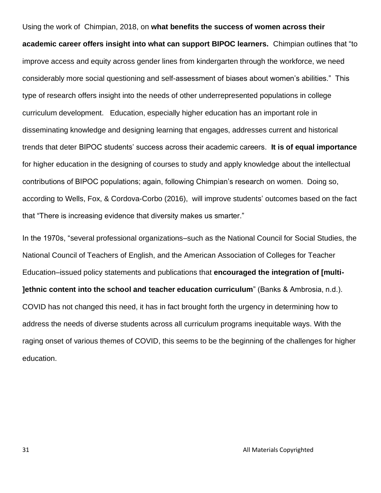Using the work of Chimpian, 2018, on **what benefits the success of women across their academic career offers insight into what can support BIPOC learners.** Chimpian outlines that "to improve access and equity across gender lines from kindergarten through the workforce, we need considerably more social questioning and self-assessment of biases about women's abilities." This type of research offers insight into the needs of other underrepresented populations in college curriculum development. Education, especially higher education has an important role in disseminating knowledge and designing learning that engages, addresses current and historical trends that deter BIPOC students' success across their academic careers. **It is of equal importance**  for higher education in the designing of courses to study and apply knowledge about the intellectual contributions of BIPOC populations; again, following Chimpian's research on women. Doing so, according to Wells, Fox, & Cordova-Corbo (2016), will improve students' outcomes based on the fact that "There is increasing evidence that diversity makes us smarter."

In the 1970s, "several professional organizations–such as the National Council for Social Studies, the National Council of Teachers of English, and the American Association of Colleges for Teacher Education–issued policy statements and publications that **encouraged the integration of [multi- ]ethnic content into the school and teacher education curriculum**" (Banks & Ambrosia, n.d.). COVID has not changed this need, it has in fact brought forth the urgency in determining how to address the needs of diverse students across all curriculum programs inequitable ways. With the raging onset of various themes of COVID, this seems to be the beginning of the challenges for higher education.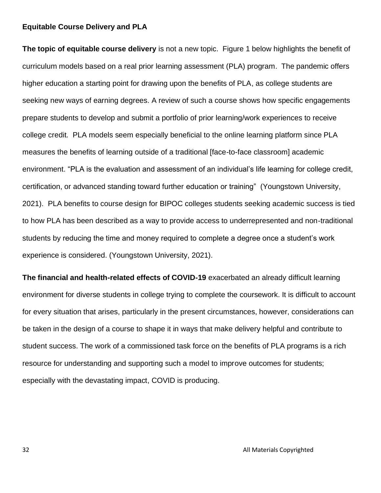#### **Equitable Course Delivery and PLA**

**The topic of equitable course delivery** is not a new topic. Figure 1 below highlights the benefit of curriculum models based on a real prior learning assessment (PLA) program. The pandemic offers higher education a starting point for drawing upon the benefits of PLA, as college students are seeking new ways of earning degrees. A review of such a course shows how specific engagements prepare students to develop and submit a portfolio of prior learning/work experiences to receive college credit. PLA models seem especially beneficial to the online learning platform since PLA measures the benefits of learning outside of a traditional [face-to-face classroom] academic environment. "PLA is the evaluation and assessment of an individual's life learning for college credit, certification, or advanced standing toward further education or training" (Youngstown University, 2021). PLA benefits to course design for BIPOC colleges students seeking academic success is tied to how PLA has been described as a way to provide access to underrepresented and non-traditional students by reducing the time and money required to complete a degree once a student's work experience is considered. (Youngstown University, 2021).

**The financial and health-related effects of COVID-19** exacerbated an already difficult learning environment for diverse students in college trying to complete the coursework. It is difficult to account for every situation that arises, particularly in the present circumstances, however, considerations can be taken in the design of a course to shape it in ways that make delivery helpful and contribute to student success. The work of a commissioned task force on the benefits of PLA programs is a rich resource for understanding and supporting such a model to improve outcomes for students; especially with the devastating impact, COVID is producing.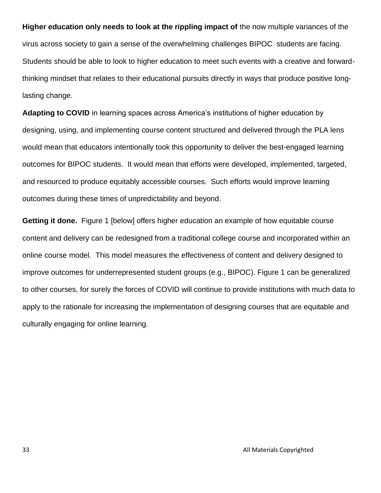**Higher education only needs to look at the rippling impact of** the now multiple variances of the virus across society to gain a sense of the overwhelming challenges BIPOC students are facing. Students should be able to look to higher education to meet such events with a creative and forwardthinking mindset that relates to their educational pursuits directly in ways that produce positive longlasting change.

**Adapting to COVID** in learning spaces across America's institutions of higher education by designing, using, and implementing course content structured and delivered through the PLA lens would mean that educators intentionally took this opportunity to deliver the best-engaged learning outcomes for BIPOC students. It would mean that efforts were developed, implemented, targeted, and resourced to produce equitably accessible courses. Such efforts would improve learning outcomes during these times of unpredictability and beyond.

**Getting it done.** Figure 1 [below] offers higher education an example of how equitable course content and delivery can be redesigned from a traditional college course and incorporated within an online course model. This model measures the effectiveness of content and delivery designed to improve outcomes for underrepresented student groups (e.g., BIPOC). Figure 1 can be generalized to other courses, for surely the forces of COVID will continue to provide institutions with much data to apply to the rationale for increasing the implementation of designing courses that are equitable and culturally engaging for online learning.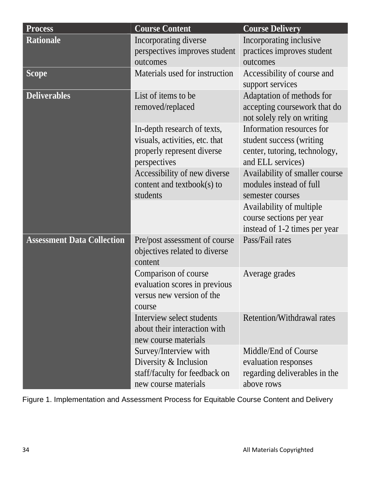| <b>Process</b>                    | <b>Course Content</b>                                                                                       | <b>Course Delivery</b>                                                                                      |
|-----------------------------------|-------------------------------------------------------------------------------------------------------------|-------------------------------------------------------------------------------------------------------------|
| <b>Rationale</b>                  | Incorporating diverse                                                                                       | Incorporating inclusive                                                                                     |
|                                   | perspectives improves student<br>outcomes                                                                   | practices improves student<br>outcomes                                                                      |
| <b>Scope</b>                      | Materials used for instruction                                                                              | Accessibility of course and                                                                                 |
|                                   |                                                                                                             | support services                                                                                            |
| <b>Deliverables</b>               | List of items to be<br>removed/replaced                                                                     | Adaptation of methods for<br>accepting coursework that do<br>not solely rely on writing                     |
|                                   | In-depth research of texts,<br>visuals, activities, etc. that<br>properly represent diverse<br>perspectives | Information resources for<br>student success (writing<br>center, tutoring, technology,<br>and ELL services) |
|                                   | Accessibility of new diverse<br>content and textbook(s) to<br>students                                      | Availability of smaller course<br>modules instead of full<br>semester courses                               |
|                                   |                                                                                                             | Availability of multiple<br>course sections per year<br>instead of 1-2 times per year                       |
| <b>Assessment Data Collection</b> | Pre/post assessment of course<br>objectives related to diverse<br>content                                   | Pass/Fail rates                                                                                             |
|                                   | Comparison of course<br>evaluation scores in previous<br>versus new version of the<br>course                | Average grades                                                                                              |
|                                   | Interview select students<br>about their interaction with<br>new course materials                           | Retention/Withdrawal rates                                                                                  |
|                                   | Survey/Interview with<br>Diversity & Inclusion<br>staff/faculty for feedback on<br>new course materials     | Middle/End of Course<br>evaluation responses<br>regarding deliverables in the<br>above rows                 |

Figure 1. Implementation and Assessment Process for Equitable Course Content and Delivery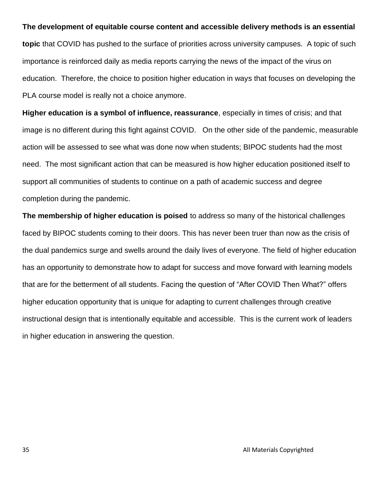#### **The development of equitable course content and accessible delivery methods is an essential**

**topic** that COVID has pushed to the surface of priorities across university campuses. A topic of such importance is reinforced daily as media reports carrying the news of the impact of the virus on education. Therefore, the choice to position higher education in ways that focuses on developing the PLA course model is really not a choice anymore.

**Higher education is a symbol of influence, reassurance**, especially in times of crisis; and that image is no different during this fight against COVID. On the other side of the pandemic, measurable action will be assessed to see what was done now when students; BIPOC students had the most need. The most significant action that can be measured is how higher education positioned itself to support all communities of students to continue on a path of academic success and degree completion during the pandemic.

**The membership of higher education is poised** to address so many of the historical challenges faced by BIPOC students coming to their doors. This has never been truer than now as the crisis of the dual pandemics surge and swells around the daily lives of everyone. The field of higher education has an opportunity to demonstrate how to adapt for success and move forward with learning models that are for the betterment of all students. Facing the question of "After COVID Then What?" offers higher education opportunity that is unique for adapting to current challenges through creative instructional design that is intentionally equitable and accessible. This is the current work of leaders in higher education in answering the question.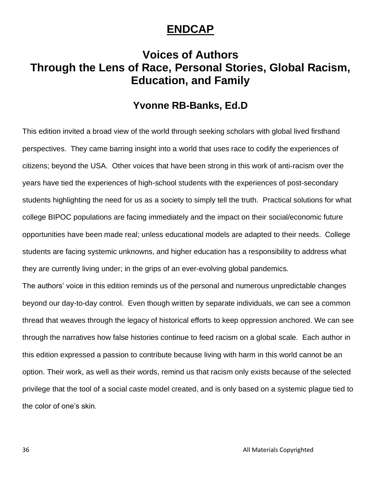## **ENDCAP**

## **Voices of Authors Through the Lens of Race, Personal Stories, Global Racism, Education, and Family**

## **Yvonne RB-Banks, Ed.D**

This edition invited a broad view of the world through seeking scholars with global lived firsthand perspectives. They came barring insight into a world that uses race to codify the experiences of citizens; beyond the USA. Other voices that have been strong in this work of anti-racism over the years have tied the experiences of high-school students with the experiences of post-secondary students highlighting the need for us as a society to simply tell the truth. Practical solutions for what college BIPOC populations are facing immediately and the impact on their social/economic future opportunities have been made real; unless educational models are adapted to their needs. College students are facing systemic unknowns, and higher education has a responsibility to address what they are currently living under; in the grips of an ever-evolving global pandemics.

The authors' voice in this edition reminds us of the personal and numerous unpredictable changes beyond our day-to-day control. Even though written by separate individuals, we can see a common thread that weaves through the legacy of historical efforts to keep oppression anchored. We can see through the narratives how false histories continue to feed racism on a global scale. Each author in this edition expressed a passion to contribute because living with harm in this world cannot be an option. Their work, as well as their words, remind us that racism only exists because of the selected privilege that the tool of a social caste model created, and is only based on a systemic plague tied to the color of one's skin.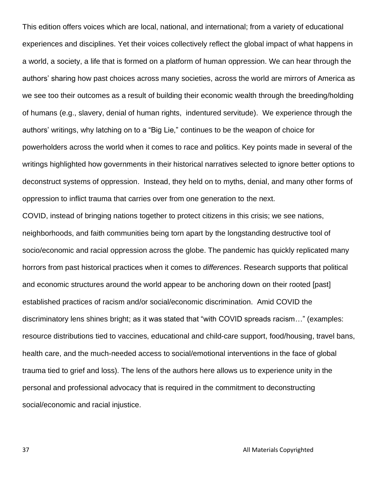This edition offers voices which are local, national, and international; from a variety of educational experiences and disciplines. Yet their voices collectively reflect the global impact of what happens in a world, a society, a life that is formed on a platform of human oppression. We can hear through the authors' sharing how past choices across many societies, across the world are mirrors of America as we see too their outcomes as a result of building their economic wealth through the breeding/holding of humans (e.g., slavery, denial of human rights, indentured servitude). We experience through the authors' writings, why latching on to a "Big Lie," continues to be the weapon of choice for powerholders across the world when it comes to race and politics. Key points made in several of the writings highlighted how governments in their historical narratives selected to ignore better options to deconstruct systems of oppression. Instead, they held on to myths, denial, and many other forms of oppression to inflict trauma that carries over from one generation to the next.

COVID, instead of bringing nations together to protect citizens in this crisis; we see nations, neighborhoods, and faith communities being torn apart by the longstanding destructive tool of socio/economic and racial oppression across the globe. The pandemic has quickly replicated many horrors from past historical practices when it comes to *differences*. Research supports that political and economic structures around the world appear to be anchoring down on their rooted [past] established practices of racism and/or social/economic discrimination. Amid COVID the discriminatory lens shines bright; as it was stated that "with COVID spreads racism…" (examples: resource distributions tied to vaccines, educational and child-care support, food/housing, travel bans, health care, and the much-needed access to social/emotional interventions in the face of global trauma tied to grief and loss). The lens of the authors here allows us to experience unity in the personal and professional advocacy that is required in the commitment to deconstructing social/economic and racial injustice.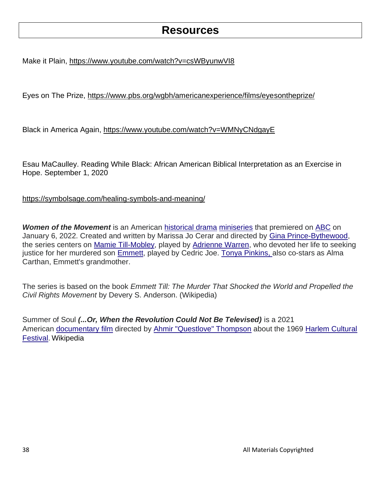## **Resources**

Make it Plain, [https://www.youtube.com/watch?v=csWByunwVI8](https://nam02.safelinks.protection.outlook.com/?url=https%3A%2F%2Fwww.youtube.com%2Fwatch%3Fv%3DcsWByunwVI8&data=04%7C01%7Cyvonne.rb-banks%40metrostate.edu%7C26ddae320d82482a2fde08d9dc68e8fa%7C5011c7c60ab446ab9ef4fae74a921a7f%7C0%7C0%7C637783165406467602%7CUnknown%7CTWFpbGZsb3d8eyJWIjoiMC4wLjAwMDAiLCJQIjoiV2luMzIiLCJBTiI6Ik1haWwiLCJXVCI6Mn0%3D%7C3000&sdata=tOYI8JJAAGWQs3m8HLPtNNRAEE063xBeUq0Uqh%2Fwriw%3D&reserved=0)

Eyes on The Prize, [https://www.pbs.org/wgbh/americanexperience/films/eyesontheprize/](https://nam02.safelinks.protection.outlook.com/?url=https%3A%2F%2Fwww.pbs.org%2Fwgbh%2Famericanexperience%2Ffilms%2Feyesontheprize%2F&data=04%7C01%7Cyvonne.rb-banks%40metrostate.edu%7C26ddae320d82482a2fde08d9dc68e8fa%7C5011c7c60ab446ab9ef4fae74a921a7f%7C0%7C0%7C637783165406467602%7CUnknown%7CTWFpbGZsb3d8eyJWIjoiMC4wLjAwMDAiLCJQIjoiV2luMzIiLCJBTiI6Ik1haWwiLCJXVCI6Mn0%3D%7C3000&sdata=mSaltoqP7I%2B9CglA4BERywfpNTSBnduIRaKi6JKczdY%3D&reserved=0)

Black in America Again, [https://www.youtube.com/watch?v=WMNyCNdgayE](https://nam02.safelinks.protection.outlook.com/?url=https%3A%2F%2Fwww.youtube.com%2Fwatch%3Fv%3DWMNyCNdgayE&data=04%7C01%7Cyvonne.rb-banks%40metrostate.edu%7C26ddae320d82482a2fde08d9dc68e8fa%7C5011c7c60ab446ab9ef4fae74a921a7f%7C0%7C0%7C637783165406467602%7CUnknown%7CTWFpbGZsb3d8eyJWIjoiMC4wLjAwMDAiLCJQIjoiV2luMzIiLCJBTiI6Ik1haWwiLCJXVCI6Mn0%3D%7C3000&sdata=R8XIkDLvXKzFOuaAG%2BxVBgvEb%2F8efU9w7sWglmCAF78%3D&reserved=0)

Esau MaCaulley. Reading While Black: African American Biblical Interpretation as an Exercise in Hope. September 1, 2020

<https://symbolsage.com/healing-symbols-and-meaning/>

*Women of the Movement* is an American [historical drama](https://en.wikipedia.org/wiki/Historical_drama) [miniseries](https://en.wikipedia.org/wiki/Miniseries) that premiered on [ABC](https://en.wikipedia.org/wiki/American_Broadcasting_Company) on January 6, 2022. Created and written by Marissa Jo Cerar and directed by [Gina Prince-Bythewood,](https://en.wikipedia.org/wiki/Gina_Prince-Bythewood) the series centers on [Mamie Till-Mobley,](https://en.wikipedia.org/wiki/Mamie_Till) played by [Adrienne Warren,](https://en.wikipedia.org/wiki/Adrienne_Warren) who devoted her life to seeking justice for her murdered son **Emmett**, played by Cedric Joe. [Tonya Pinkins,](https://en.wikipedia.org/wiki/Tonya_Pinkins) also co-stars as Alma Carthan, Emmett's grandmother.

The series is based on the book *Emmett Till: The Murder That Shocked the World and Propelled the Civil Rights Movement* by Devery S. Anderson. (Wikipedia)

Summer of Soul *(...Or, When the Revolution Could Not Be Televised)* is a 2021 American [documentary film](https://en.wikipedia.org/wiki/Documentary_film) directed by [Ahmir "Questlove" Thompson](https://en.wikipedia.org/wiki/Questlove) about the 1969 [Harlem Cultural](https://en.wikipedia.org/wiki/Harlem_Cultural_Festival)  [Festival.](https://en.wikipedia.org/wiki/Harlem_Cultural_Festival) Wikipedia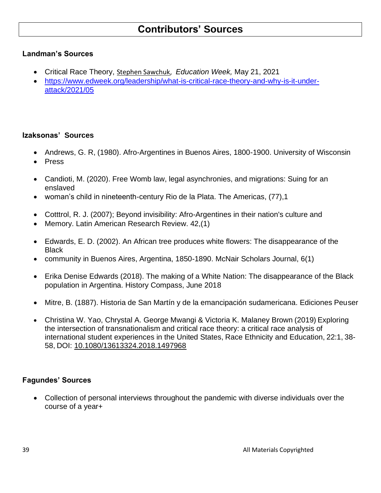## **Contributors' Sources**

#### **Landman's Sources**

- Critical Race Theory, [Stephen Sawchuk,](https://www.edweek.org/by/stephen-sawchuk) *Education Week,* May 21, 2021
- [https://www.edweek.org/leadership/what-is-critical-race-theory-and-why-is-it-under](https://www.edweek.org/leadership/what-is-critical-race-theory-and-why-is-it-under-attack/2021/05)[attack/2021/05](https://www.edweek.org/leadership/what-is-critical-race-theory-and-why-is-it-under-attack/2021/05)

#### **Izaksonas' Sources**

- Andrews, G. R, (1980). Afro-Argentines in Buenos Aires, 1800-1900. University of Wisconsin
- Press
- Candioti, M. (2020). Free Womb law, legal asynchronies, and migrations: Suing for an enslaved
- woman's child in nineteenth-century Rio de la Plata. The Americas, (77),1
- Cotttrol, R. J. (2007); Beyond invisibility: Afro-Argentines in their nation's culture and
- Memory. Latin American Research Review. 42,(1)
- Edwards, E. D. (2002). An African tree produces white flowers: The disappearance of the **Black**
- community in Buenos Aires, Argentina, 1850-1890. McNair Scholars Journal, 6(1)
- [Erika Denise Edwards](https://onlinelibrary.wiley.com/action/doSearch?ContribAuthorRaw=Edwards%2C+Erika+Denise) (2018). The making of a White Nation: The disappearance of the Black population in Argentina. History Compass, June 2018
- Mitre, B. (1887). Historia de San Martín y de la emancipación sudamericana. Ediciones Peuser
- Christina W. Yao, Chrystal A. George Mwangi & Victoria K. Malaney Brown (2019) Exploring the intersection of transnationalism and critical race theory: a critical race analysis of international student experiences in the United States, Race Ethnicity and Education, 22:1, 38- 58, DOI: [10.1080/13613324.2018.1497968](https://doi.org/10.1080/13613324.2018.1497968)

#### **Fagundes' Sources**

• Collection of personal interviews throughout the pandemic with diverse individuals over the course of a year+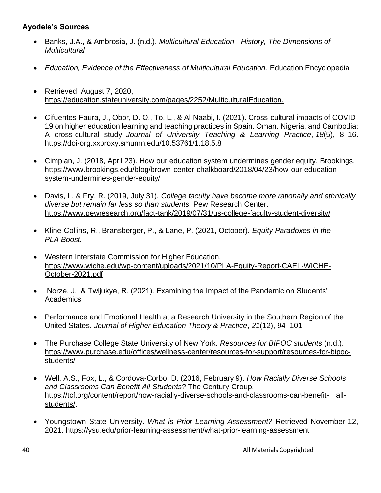#### **Ayodele's Sources**

- Banks, J.A., & Ambrosia, J. (n.d.). *Multicultural Education - History, The Dimensions of Multicultural*
- *Education, Evidence of the Effectiveness of Multicultural Education.* Education Encyclopedia
- Retrieved, August 7, 202[0,](https://education.stateuniversity.com/pages/2252/MulticulturalEducation.) <https://education.stateuniversity.com/pages/2252/MulticulturalEducation.>
- Cifuentes-Faura, J., Obor, D. O., To, L., & Al-Naabi, I. (2021). Cross-cultural impacts of COVID-19 on higher education learning and teaching practices in Spain, Oman, Nigeria, and Cambodia: A cross-cultural study. *Journal of University Teaching & Learning Practice*, *18*(5), 8–16. <https://doi-org.xxproxy.smumn.edu/10.53761/1.18.5.8>
- Cimpian, J. (2018, April 23). How our education system undermines gender equity. Brookings. https://www.brookings.edu/blog/brown-center-chalkboard/2018/04/23/how-our-educationsystem-undermines-gender-equity/
- Davis, L. & Fry, R. (2019, July 31). *College faculty have become more rationally and ethnically diverse but remain far less so than students.* Pew Research Center. <https://www.pewresearch.org/fact-tank/2019/07/31/us-college-faculty-student-diversity/>
- Kline-Collins, R., Bransberger, P., & Lane, P. (2021, October). *Equity Paradoxes in the PLA Boost.*
- Western Interstate Commission for Higher Education. [https://www.wiche.edu/wp-content/uploads/2021/10/PLA-Equity-Report-CAEL-WICHE-](https://www.wiche.edu/wp-content/uploads/2021/10/PLA-Equity-Report-CAEL-WICHE-October-2021.pdf)[October-2021.pdf](https://www.wiche.edu/wp-content/uploads/2021/10/PLA-Equity-Report-CAEL-WICHE-October-2021.pdf)
- Norze, J., & Twijukye, R. (2021). Examining the Impact of the Pandemic on Students' **Academics**
- Performance and Emotional Health at a Research University in the Southern Region of the United States. *Journal of Higher Education Theory & Practice*, *21*(12), 94–101
- The Purchase College State University of New York. *Resources for BIPOC students* (n.d.). [https://www.purchase.edu/offices/wellness-center/resources-for-support/resources-for-bipoc](https://www.purchase.edu/offices/wellness-center/resources-for-support/resources-for-bipoc-students/)[students/](https://www.purchase.edu/offices/wellness-center/resources-for-support/resources-for-bipoc-students/)
- Well, A.S., Fox, L., & Cordova-Corbo, D. (2016, February 9). *How Racially Diverse Schools and Classrooms Can Benefit All Students*? The Century Group. [https://tcf.org/content/report/how-racially-diverse-schools-and-classrooms-can-benefit-](https://tcf.org/content/report/how-racially-diverse-schools-and-classrooms-can-benefit-%09all-students/) all[students/.](https://tcf.org/content/report/how-racially-diverse-schools-and-classrooms-can-benefit-%09all-students/)
- Youngstown State University. *What is Prior Learning Assessment?* Retrieved November 12, 2021.<https://ysu.edu/prior-learning-assessment/what-prior-learning-assessment>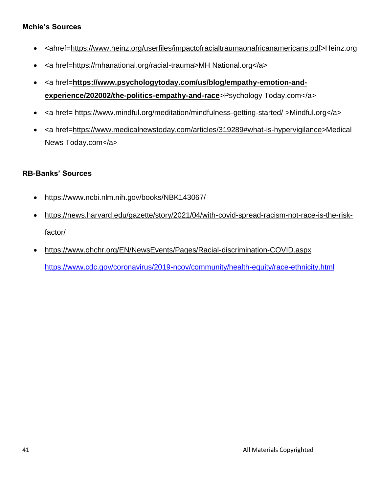#### **Mchie's Sources**

- <ahref[=https://www.heinz.org/userfiles/impactofracialtraumaonafricanamericans.pdf>](https://www.heinz.org/userfiles/impactofracialtraumaonafricanamericans.pdf)Heinz.org
- <a href[=https://mhanational.org/racial-trauma>](https://mhanational.org/racial-trauma)MH National.org</a>
- <a href=[https://www.psychologytoday.com/us/blog/empathy-emotion-and](https://www.psychologytoday.com/us/blog/empathy-emotion-and-experience/202002/the-politics-empathy-and-race)**[experience/202002/the-politics-empathy-and-race](https://www.psychologytoday.com/us/blog/empathy-emotion-and-experience/202002/the-politics-empathy-and-race)**>Psychology Today.com</a>
- <a href= <https://www.mindful.org/meditation/mindfulness-getting-started/> >Mindful.org</a>
- <a href[=https://www.medicalnewstoday.com/articles/319289#what-is-hypervigilance>](https://www.medicalnewstoday.com/articles/319289#what-is-hypervigilance)Medical News Today.com</a>

#### **RB-Banks' Sources**

- <https://www.ncbi.nlm.nih.gov/books/NBK143067/>
- [https://news.harvard.edu/gazette/story/2021/04/with-covid-spread-racism-not-race-is-the-risk](https://news.harvard.edu/gazette/story/2021/04/with-covid-spread-racism-not-race-is-the-risk-factor/)[factor/](https://news.harvard.edu/gazette/story/2021/04/with-covid-spread-racism-not-race-is-the-risk-factor/)
- <https://www.ohchr.org/EN/NewsEvents/Pages/Racial-discrimination-COVID.aspx> <https://www.cdc.gov/coronavirus/2019-ncov/community/health-equity/race-ethnicity.html>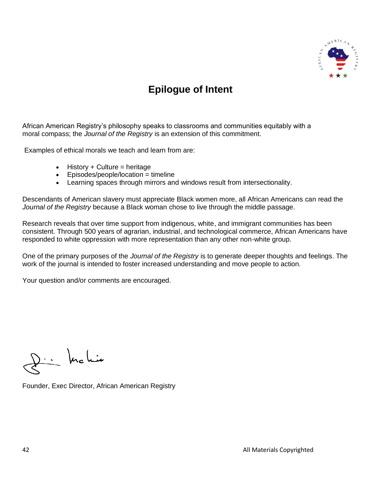

## **Epilogue of Intent**

African American Registry's philosophy speaks to classrooms and communities equitably with a moral compass; the *Journal of the Registry* is an extension of this commitment.

Examples of ethical morals we teach and learn from are:

- History  $+$  Culture = heritage
- Episodes/people/location = timeline
- Learning spaces through mirrors and windows result from intersectionality.

Descendants of American slavery must appreciate Black women more, all African Americans can read the *Journal of the Registry* because a Black woman chose to live through the middle passage.

Research reveals that over time support from indigenous, white, and immigrant communities has been consistent. Through 500 years of agrarian, industrial, and technological commerce, African Americans have responded to white oppression with more representation than any other non-white group.

One of the primary purposes of the *Journal of the Registry* is to generate deeper thoughts and feelings. The work of the journal is intended to foster increased understanding and move people to action.

Your question and/or comments are encouraged.

 $D\cdot\cdot$  keli

Founder, Exec Director, African American Registry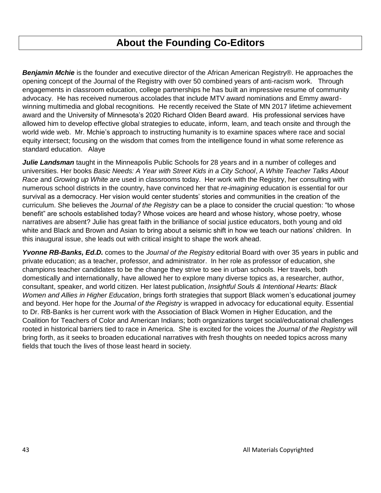## **About the Founding Co-Editors**

*Benjamin Mchie* is the founder and executive director of the African American Registry®. He approaches the opening concept of the Journal of the Registry with over 50 combined years of anti-racism work. Through engagements in classroom education, college partnerships he has built an impressive resume of community advocacy. He has received numerous accolades that include MTV award nominations and Emmy awardwinning multimedia and global recognitions. He recently received the State of MN 2017 lifetime achievement award and the University of Minnesota's 2020 Richard Olden Beard award. His professional services have allowed him to develop effective global strategies to educate, inform, learn, and teach onsite and through the world wide web. Mr. Mchie's approach to instructing humanity is to examine spaces where race and social equity intersect; focusing on the wisdom that comes from the intelligence found in what some reference as standard education. Alaye

*Julie Landsman* taught in the Minneapolis Public Schools for 28 years and in a number of colleges and universities. Her books *Basic Needs: A Year with Street Kids in a City School*, A *White Teacher Talks About Race* and *Growing up White* are used in classrooms today. Her work with the Registry, her consulting with numerous school districts in the country, have convinced her that *re-imagining* education is essential for our survival as a democracy. Her vision would center students' stories and communities in the creation of the curriculum. She believes the *Journal of the Registry* can be a place to consider the crucial question: "to whose benefit" are schools established today? Whose voices are heard and whose history, whose poetry, whose narratives are absent? Julie has great faith in the brilliance of social justice educators, both young and old white and Black and Brown and Asian to bring about a seismic shift in how we teach our nations' children. In this inaugural issue, she leads out with critical insight to shape the work ahead.

*Yvonne RB-Banks, Ed.D.* comes to the *Journal of the Registry* editorial Board with over 35 years in public and private education; as a teacher, professor, and administrator. In her role as professor of education, she champions teacher candidates to be the change they strive to see in urban schools. Her travels, both domestically and internationally, have allowed her to explore many diverse topics as, a researcher, author, consultant, speaker, and world citizen. Her latest publication, *Insightful Souls & Intentional Hearts: Black Women and Allies in Higher Education*, brings forth strategies that support Black women's educational journey and beyond. Her hope for the *Journal of the Registry* is wrapped in advocacy for educational equity. Essential to Dr. RB-Banks is her current work with the Association of Black Women in Higher Education, and the Coalition for Teachers of Color and American Indians; both organizations target social/educational challenges rooted in historical barriers tied to race in America. She is excited for the voices the *Journal of the Registry* will bring forth, as it seeks to broaden educational narratives with fresh thoughts on needed topics across many fields that touch the lives of those least heard in society.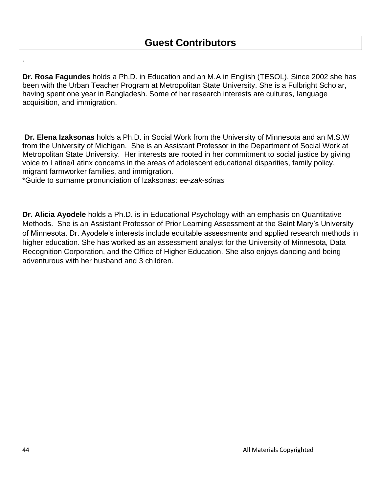**Dr. Rosa Fagundes** holds a Ph.D. in Education and an M.A in English (TESOL). Since 2002 she has been with the Urban Teacher Program at Metropolitan State University. She is a Fulbright Scholar, having spent one year in Bangladesh. Some of her research interests are cultures, language acquisition, and immigration.

**Dr. Elena Izaksonas** holds a Ph.D. in Social Work from the University of Minnesota and an M.S.W from the University of Michigan. She is an Assistant Professor in the Department of Social Work at Metropolitan State University. Her interests are rooted in her commitment to social justice by giving voice to Latine/Latinx concerns in the areas of adolescent educational disparities, family policy, migrant farmworker families, and immigration.

\*Guide to surname pronunciation of Izaksonas: *ee-zak*-*sónas*

**Dr. Alicia Ayodele** holds a Ph.D. is in Educational Psychology with an emphasis on Quantitative Methods. She is an Assistant Professor of Prior Learning Assessment at the Saint Mary's University of Minnesota. Dr. Ayodele's interests include equitable assessments and applied research methods in higher education. She has worked as an assessment analyst for the University of Minnesota, Data Recognition Corporation, and the Office of Higher Education. She also enjoys dancing and being adventurous with her husband and 3 children.

.